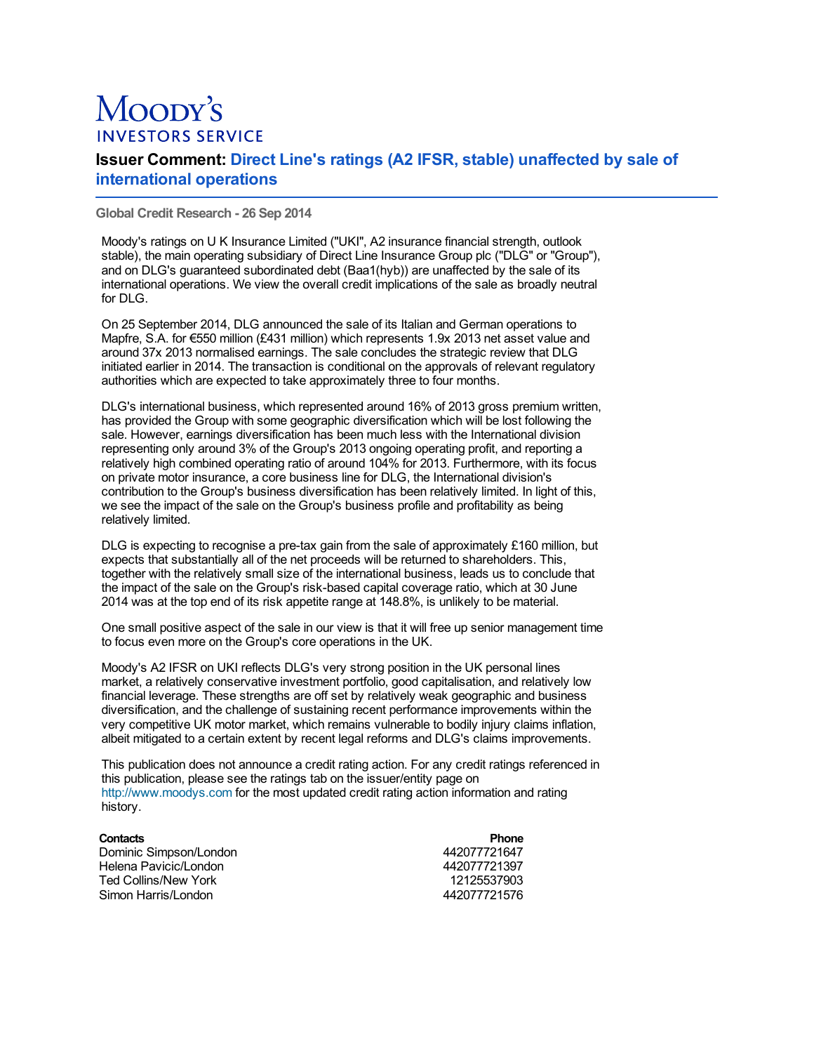## Moopy's **INVESTORS SERVICE**

## **Issuer Comment: Direct Line's ratings (A2 IFSR, stable) unaffected by sale of international operations**

**Global Credit Research - 26 Sep 2014**

Moody's ratings on U K Insurance Limited ("UKI", A2 insurance financial strength, outlook stable), the main operating subsidiary of Direct Line Insurance Group plc ("DLG" or "Group"), and on DLG's guaranteed subordinated debt (Baa1(hyb)) are unaffected by the sale of its international operations. We view the overall credit implications of the sale as broadly neutral for DLG.

On 25 September 2014, DLG announced the sale of its Italian and German operations to Mapfre, S.A. for €550 million (£431 million) which represents 1.9x 2013 net asset value and around 37x 2013 normalised earnings. The sale concludes the strategic review that DLG initiated earlier in 2014. The transaction is conditional on the approvals of relevant regulatory authorities which are expected to take approximately three to four months.

DLG's international business, which represented around 16% of 2013 gross premium written, has provided the Group with some geographic diversification which will be lost following the sale. However, earnings diversification has been much less with the International division representing only around 3% of the Group's 2013 ongoing operating profit, and reporting a relatively high combined operating ratio of around 104% for 2013. Furthermore, with its focus on private motor insurance, a core business line for DLG, the International division's contribution to the Group's business diversification has been relatively limited. In light of this, we see the impact of the sale on the Group's business profile and profitability as being relatively limited.

DLG is expecting to recognise a pre-tax gain from the sale of approximately £160 million, but expects that substantially all of the net proceeds will be returned to shareholders. This, together with the relatively small size of the international business, leads us to conclude that the impact of the sale on the Group's risk-based capital coverage ratio, which at 30 June 2014 was at the top end of its risk appetite range at 148.8%, is unlikely to be material.

One small positive aspect of the sale in our view is that it will free up senior management time to focus even more on the Group's core operations in the UK.

Moody's A2 IFSR on UKI reflects DLG's very strong position in the UK personal lines market, a relatively conservative investment portfolio, good capitalisation, and relatively low financial leverage. These strengths are off set by relatively weak geographic and business diversification, and the challenge of sustaining recent performance improvements within the very competitive UK motor market, which remains vulnerable to bodily injury claims inflation, albeit mitigated to a certain extent by recent legal reforms and DLG's claims improvements.

This publication does not announce a credit rating action. For any credit ratings referenced in this publication, please see the ratings tab on the issuer/entity page on [http://www.moodys.com](http://www.moodys.com/) for the most updated credit rating action information and rating history.

| <b>Contacts</b>        | <b>Phone</b> |
|------------------------|--------------|
| Dominic Simpson/London | 442077721647 |
| Helena Pavicic/London  | 442077721397 |
| Ted Collins/New York   | 12125537903  |
| Simon Harris/London    | 442077721576 |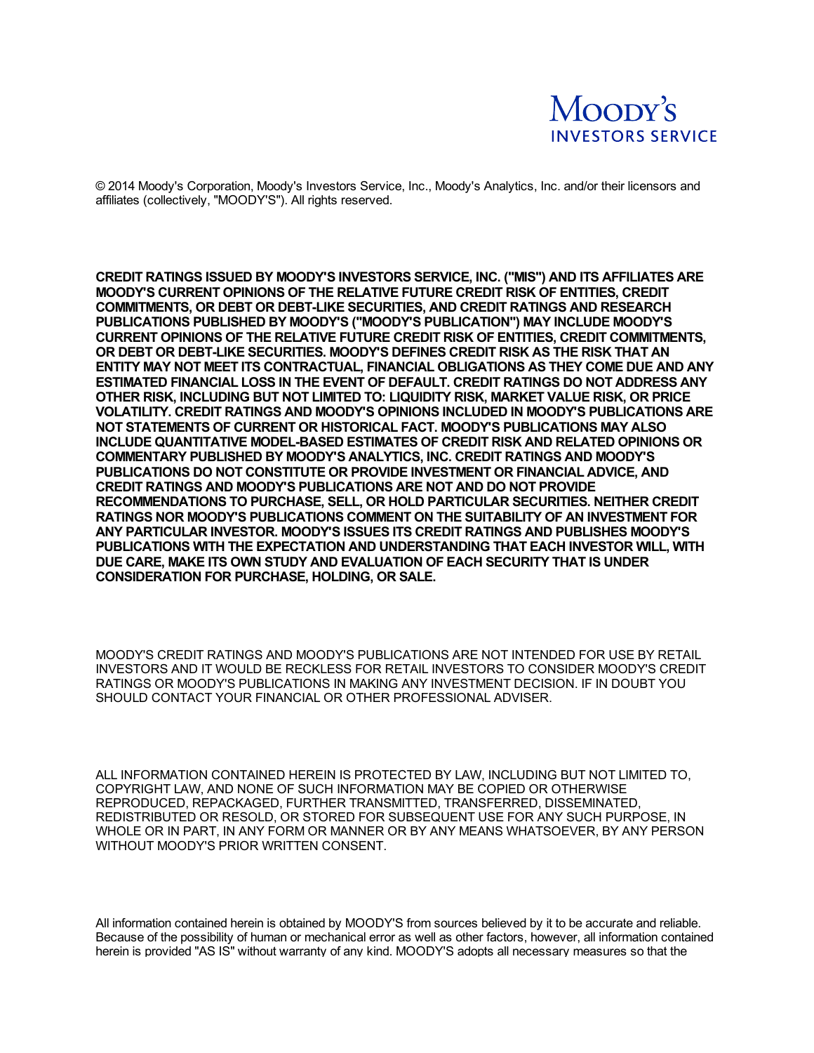

© 2014 Moody's Corporation, Moody's Investors Service, Inc., Moody's Analytics, Inc. and/or their licensors and affiliates (collectively, "MOODY'S"). All rights reserved.

**CREDIT RATINGS ISSUED BY MOODY'S INVESTORS SERVICE, INC. ("MIS") AND ITS AFFILIATES ARE MOODY'S CURRENT OPINIONS OF THE RELATIVE FUTURE CREDIT RISK OF ENTITIES, CREDIT COMMITMENTS, OR DEBT OR DEBT-LIKE SECURITIES, AND CREDIT RATINGS AND RESEARCH PUBLICATIONS PUBLISHED BY MOODY'S ("MOODY'S PUBLICATION") MAY INCLUDE MOODY'S CURRENT OPINIONS OF THE RELATIVE FUTURE CREDIT RISK OF ENTITIES, CREDIT COMMITMENTS, OR DEBT OR DEBT-LIKE SECURITIES. MOODY'S DEFINES CREDIT RISK AS THE RISK THAT AN ENTITY MAY NOT MEET ITS CONTRACTUAL, FINANCIAL OBLIGATIONS AS THEY COME DUE AND ANY ESTIMATED FINANCIAL LOSS IN THE EVENT OF DEFAULT. CREDIT RATINGS DO NOT ADDRESS ANY OTHER RISK, INCLUDING BUT NOT LIMITED TO: LIQUIDITY RISK, MARKET VALUE RISK, OR PRICE VOLATILITY. CREDIT RATINGS AND MOODY'S OPINIONS INCLUDED IN MOODY'S PUBLICATIONS ARE NOT STATEMENTS OF CURRENT OR HISTORICAL FACT. MOODY'S PUBLICATIONS MAY ALSO INCLUDE QUANTITATIVE MODEL-BASED ESTIMATES OF CREDIT RISK AND RELATED OPINIONS OR COMMENTARY PUBLISHED BY MOODY'S ANALYTICS, INC. CREDIT RATINGS AND MOODY'S PUBLICATIONS DO NOT CONSTITUTE OR PROVIDE INVESTMENT OR FINANCIAL ADVICE, AND CREDIT RATINGS AND MOODY'S PUBLICATIONS ARE NOT AND DO NOT PROVIDE RECOMMENDATIONS TO PURCHASE, SELL, OR HOLD PARTICULAR SECURITIES. NEITHER CREDIT RATINGS NOR MOODY'S PUBLICATIONS COMMENT ON THE SUITABILITY OF AN INVESTMENT FOR ANY PARTICULAR INVESTOR. MOODY'S ISSUES ITS CREDIT RATINGS AND PUBLISHES MOODY'S PUBLICATIONS WITH THE EXPECTATION AND UNDERSTANDING THAT EACH INVESTOR WILL, WITH DUE CARE, MAKE ITS OWN STUDY AND EVALUATION OF EACH SECURITY THAT IS UNDER CONSIDERATION FOR PURCHASE, HOLDING, OR SALE.**

MOODY'S CREDIT RATINGS AND MOODY'S PUBLICATIONS ARE NOT INTENDED FOR USE BY RETAIL INVESTORS AND IT WOULD BE RECKLESS FOR RETAIL INVESTORS TO CONSIDER MOODY'S CREDIT RATINGS OR MOODY'S PUBLICATIONS IN MAKING ANY INVESTMENT DECISION. IF IN DOUBT YOU SHOULD CONTACT YOUR FINANCIAL OR OTHER PROFESSIONAL ADVISER.

ALL INFORMATION CONTAINED HEREIN IS PROTECTED BY LAW, INCLUDING BUT NOT LIMITED TO, COPYRIGHT LAW, AND NONE OF SUCH INFORMATION MAY BE COPIED OR OTHERWISE REPRODUCED, REPACKAGED, FURTHER TRANSMITTED, TRANSFERRED, DISSEMINATED, REDISTRIBUTED OR RESOLD, OR STORED FOR SUBSEQUENT USE FOR ANY SUCH PURPOSE, IN WHOLE OR IN PART, IN ANY FORM OR MANNER OR BY ANY MEANS WHATSOEVER, BY ANY PERSON WITHOUT MOODY'S PRIOR WRITTEN CONSENT.

All information contained herein is obtained by MOODY'S from sources believed by it to be accurate and reliable. Because of the possibility of human or mechanical error as well as other factors, however, all information contained herein is provided "AS IS" without warranty of any kind. MOODY'S adopts all necessary measures so that the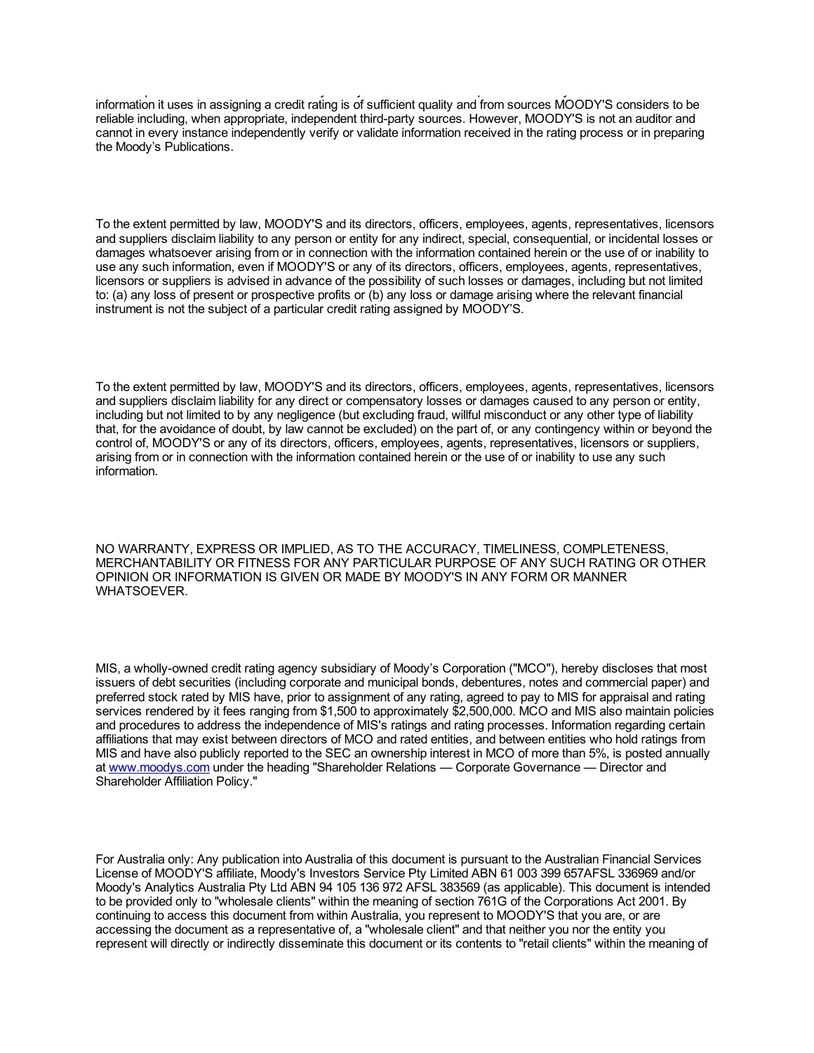herein is provided "AS IS" without warranty of any kind. MOODY'S adopts all necessary measures so that the information it uses in assigning a credit rating is of sufficient quality and from sources MOODY'S considers to be reliable including, when appropriate, independent third-party sources. However, MOODY'S is not an auditor and cannot in every instance independently verify or validate information received in the rating process or in preparing the Moody's Publications.

To the extent permitted by law, MOODY'S and its directors, officers, employees, agents, representatives, licensors and suppliers disclaim liability to any person or entity for any indirect, special, consequential, or incidental losses or damages whatsoever arising from or in connection with the information contained herein or the use of or inability to use any such information, even if MOODY'S or any of its directors, officers, employees, agents, representatives, licensors or suppliers is advised in advance of the possibility of such losses or damages, including but not limited to: (a) any loss of present or prospective profits or (b) any loss or damage arising where the relevant financial instrument is not the subject of a particular credit rating assigned by MOODY'S.

To the extent permitted by law, MOODY'S and its directors, officers, employees, agents, representatives, licensors and suppliers disclaim liability for any direct or compensatory losses or damages caused to any person or entity, including but not limited to by any negligence (but excluding fraud, willful misconduct or any other type of liability that, for the avoidance of doubt, by law cannot be excluded) on the part of, or any contingency within or beyond the control of, MOODY'S or any of its directors, officers, employees, agents, representatives, licensors or suppliers, arising from or in connection with the information contained herein or the use of or inability to use any such information.

NO WARRANTY, EXPRESS OR IMPLIED, AS TO THE ACCURACY, TIMELINESS, COMPLETENESS, MERCHANTABILITY OR FITNESS FOR ANY PARTICULAR PURPOSE OF ANY SUCH RATING OR OTHER OPINION OR INFORMATION IS GIVEN OR MADE BY MOODY'S IN ANY FORM OR MANNER **WHATSOEVER** 

MIS, a wholly-owned credit rating agency subsidiary of Moody's Corporation ("MCO"), hereby discloses that most issuers of debt securities (including corporate and municipal bonds, debentures, notes and commercial paper) and preferred stock rated by MIS have, prior to assignment of any rating, agreed to pay to MIS for appraisal and rating services rendered by it fees ranging from \$1,500 to approximately \$2,500,000. MCO and MIS also maintain policies and procedures to address the independence of MIS's ratings and rating processes. Information regarding certain affiliations that may exist between directors of MCO and rated entities, and between entities who hold ratings from MIS and have also publicly reported to the SEC an ownership interest in MCO of more than 5%, is posted annually at [www.moodys.com](https://www.moodys.com/) under the heading "Shareholder Relations — Corporate Governance — Director and Shareholder Affiliation Policy."

For Australia only: Any publication into Australia of this document is pursuant to the Australian Financial Services License of MOODY'S affiliate, Moody's Investors Service Pty Limited ABN 61 003 399 657AFSL 336969 and/or Moody's Analytics Australia Pty Ltd ABN 94 105 136 972 AFSL 383569 (as applicable). This document is intended to be provided only to "wholesale clients" within the meaning of section 761G of the Corporations Act 2001. By continuing to access this document from within Australia, you represent to MOODY'S that you are, or are accessing the document as a representative of, a "wholesale client" and that neither you nor the entity you represent will directly or indirectly disseminate this document or its contents to "retail clients" within the meaning of